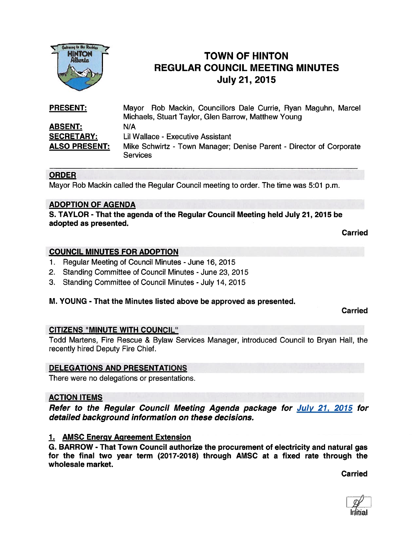

# TOWN OF HINTON REGULAR COUNCIL MEETING MINUTES For the Recites<br>
HINTON<br>
HINTON<br>
REGULAR COUNCIL MEET<br>
July 21, 2015

| <b>PRESENT:</b>      | Mayor Rob Mackin, Councillors Dale Currie, Ryan Maguhn, Marcel<br>Michaels, Stuart Taylor, Glen Barrow, Matthew Young |
|----------------------|-----------------------------------------------------------------------------------------------------------------------|
| <b>ABSENT:</b>       | N/A                                                                                                                   |
| <b>SECRETARY:</b>    | Lil Wallace - Executive Assistant                                                                                     |
| <b>ALSO PRESENT:</b> | Mike Schwirtz - Town Manager; Denise Parent - Director of Corporate<br><b>Services</b>                                |

### **ORDER**

Mayor Rob Mackin called the Regular Council meeting to order. The time was 5:01 p.m.

### ADOPTION OF AGENDA

S. TAYLOR - That the agenda of the Regular Council Meeting held July 21, 2015 be adopted as presented.

Carried

### COUNCIL MINUTES FOR ADOPTION

- 1. Regular Meeting of Council Minutes June 16, 2015
- 2. Standing Committee of Council Minutes June 23, 2015
- 3. Standing Committee of Council Minutes July 14, 2015

### M. YOUNG - That the Minutes listed above be approved as presented.

Carried

### CITIZENS "MINUTE WITH COUNCIL"

Todd Martens, Fire Rescue & Bylaw Services Manager, introduced Council to Bryan Hall, the recently hired Deputy Fire Chief.

### DELEGATIONS AND PRESENTATIONS

There were no delegations or presentations.

### ACTION ITEMS

Refer to the Regular Council Meeting Agenda package for July 21, 2015 for detailed background information on these decisions.

### 1. AMSC Energy Agreement Extension

G. BARROW - That Town Council authorize the procuremen<sup>t</sup> of electricity and natural gas for the final two year term (2017-2018) through AMSC at a fixed rate through the wholesale market.

Carried

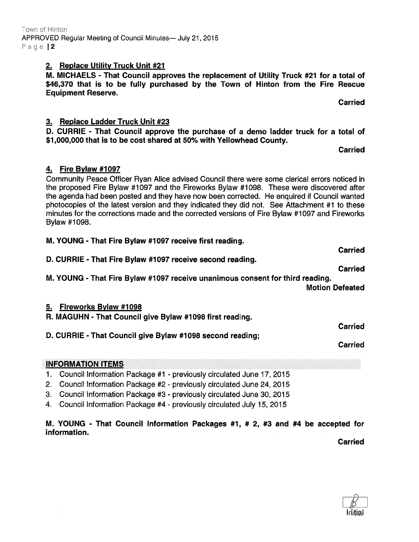M. YOUNG - That Council Information Packages #1, # 2, #3 and #4 be accepted for information. **Carried** 

INFORMATION ITEMS

1. Council Information Package #1 - previously circulated June 17, 2015

2. Council Information Package #2 - previously circulated June 24, 2015

3. Council Information Package #3 - previously circulated June 30, 2015

4. Council Information Package #4 - previously circulated July 15, 2015

## M. YOUNG - That Fire Bylaw #1097 receive unanimous consent for third reading.

D. CURRIE - That Fire Bylaw #7097 receive second reading.

### 5. Fireworks Bylaw #1098

R. MAGUHN - That Council give Bylaw #1 098 first reading.

D. CURRIE - That Council give Bylaw #1098 second reading;

## Bylaw #1 098.

4. Fire Bylaw #1097

Community Peace Officer Ryan Alice advised Council there were some clerical errors noticed in the proposed Fire Bylaw #1097 and the Fireworks Bylaw #1098. These were discovered after the agenda had been posted and they have now been corrected. He enquired if Council wanted photocopies of the latest version and they indicated they did not. See Attachment #1 to these minutes for the corrections made and the corrected versions of Fire Bylaw #1097 and Fireworks M. YOUNG - That Fire Bylaw #1097 receive first reading.

### 3. Replace Ladder Truck Unit #23

D. CURRIE - That Council approve the purchase of <sup>a</sup> demo ladder truck for <sup>a</sup> total of \$1,000,000 that is to be cost shared at 50% with Yellowhead County.

Carried

**Carried** 

2. Replace Utility Truck Unit #21

M. MICHAELS - That Council approves the replacement of Utility Truck #21 for <sup>a</sup> total of \$46,370 that is to be fully purchased by the Town of Hinton from the Fire Rescue Equipment Reserve.

Carried

Carried

Carried

Motion Defeated

Carried